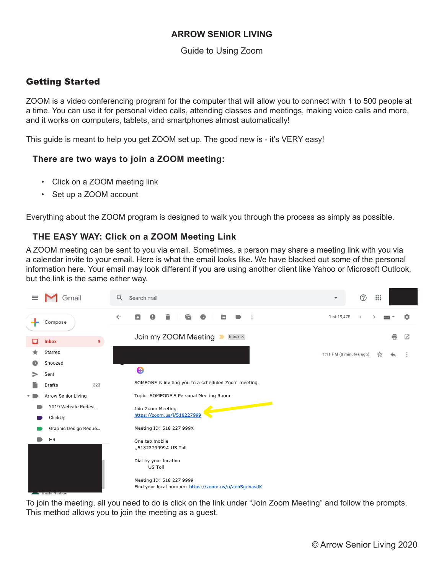Guide to Using Zoom

# Getting Started

ZOOM is a video conferencing program for the computer that will allow you to connect with 1 to 500 people at a time. You can use it for personal video calls, attending classes and meetings, making voice calls and more, and it works on computers, tablets, and smartphones almost automatically!

This guide is meant to help you get ZOOM set up. The good new is - it's VERY easy!

#### **There are two ways to join a ZOOM meeting:**

- Click on a ZOOM meeting link
- Set up a ZOOM account

Everything about the ZOOM program is designed to walk you through the process as simply as possible.

#### **THE EASY WAY: Click on a ZOOM Meeting Link**

A ZOOM meeting can be sent to you via email. Sometimes, a person may share a meeting link with you via a calendar invite to your email. Here is what the email looks like. We have blacked out some of the personal information here. Your email may look different if you are using another client like Yahoo or Microsoft Outlook, but the link is the same either way.



To join the meeting, all you need to do is click on the link under "Join Zoom Meeting" and follow the prompts. This method allows you to join the meeting as a guest.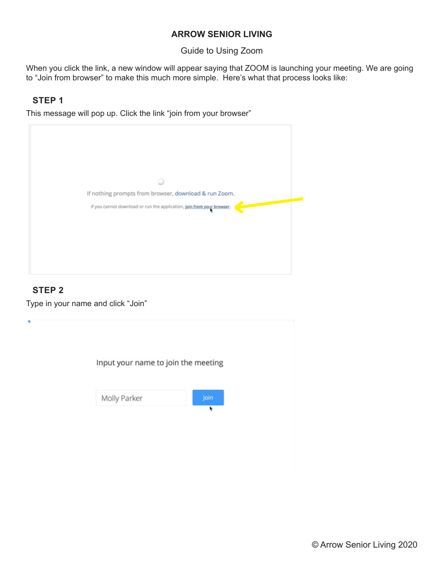Guide to Using Zoom

When you click the link, a new window will appear saying that ZOOM is launching your meeting. We are going to "Join from browser" to make this much more simple. Here's what that process looks like:

# **STEP 1**

This message will pop up. Click the link "join from your browser"



# **STEP 2**

Type in your name and click "Join"

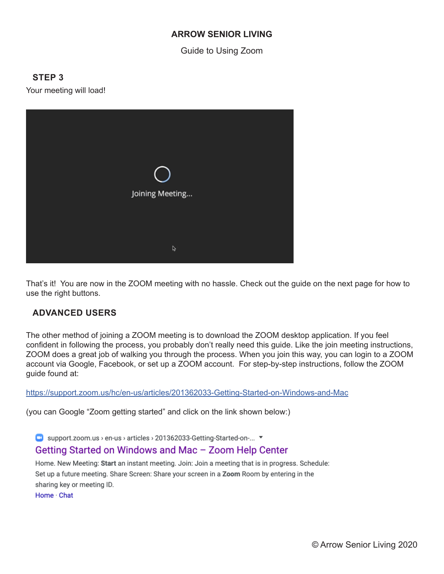Guide to Using Zoom

# **STEP 3**

Your meeting will load!



That's it! You are now in the ZOOM meeting with no hassle. Check out the guide on the next page for how to use the right buttons.

# **ADVANCED USERS**

The other method of joining a ZOOM meeting is to download the ZOOM desktop application. If you feel confident in following the process, you probably don't really need this guide. Like the join meeting instructions, ZOOM does a great job of walking you through the process. When you join this way, you can login to a ZOOM account via Google, Facebook, or set up a ZOOM account. For step-by-step instructions, follow the ZOOM guide found at:

https://support.zoom.us/hc/en-us/articles/201362033-Getting-Started-on-Windows-and-Mac

(you can Google "Zoom getting started" and click on the link shown below:)

■ support.zoom.us > en-us > articles > 201362033-Getting-Started-on-... ▼

#### Getting Started on Windows and Mac - Zoom Help Center

Home. New Meeting: Start an instant meeting. Join: Join a meeting that is in progress. Schedule: Set up a future meeting. Share Screen: Share your screen in a Zoom Room by entering in the sharing key or meeting ID.

Home Chat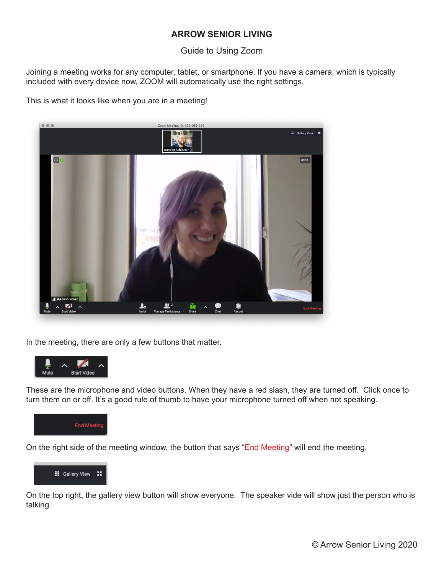## Guide to Using Zoom

Joining a meeting works for any computer, tablet, or smartphone. If you have a camera, which is typically included with every device now, ZOOM will automatically use the right settings.

This is what it looks like when you are in a meeting!



In the meeting, there are only a few buttons that matter.



These are the microphone and video buttons. When they have a red slash, they are turned off. Click once to turn them on or off. It's a good rule of thumb to have your microphone turned off when not speaking.



On the right side of the meeting window, the button that says "End Meeting" will end the meeting.

**III** Gallery View 2

On the top right, the gallery view button will show everyone. The speaker vide will show just the person who is talking.